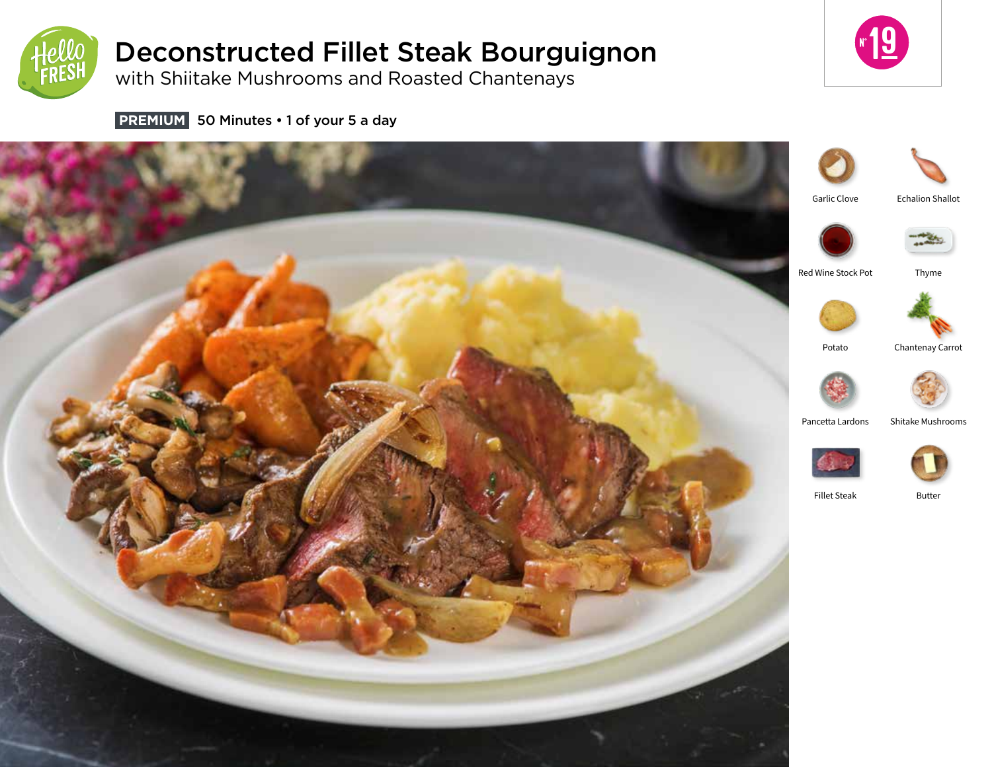

# Deconstructed Fillet Steak Bourguignon

with Shiitake Mushrooms and Roasted Chantenays



**PREMIUM** 50 Minutes • 1 of your 5 a day